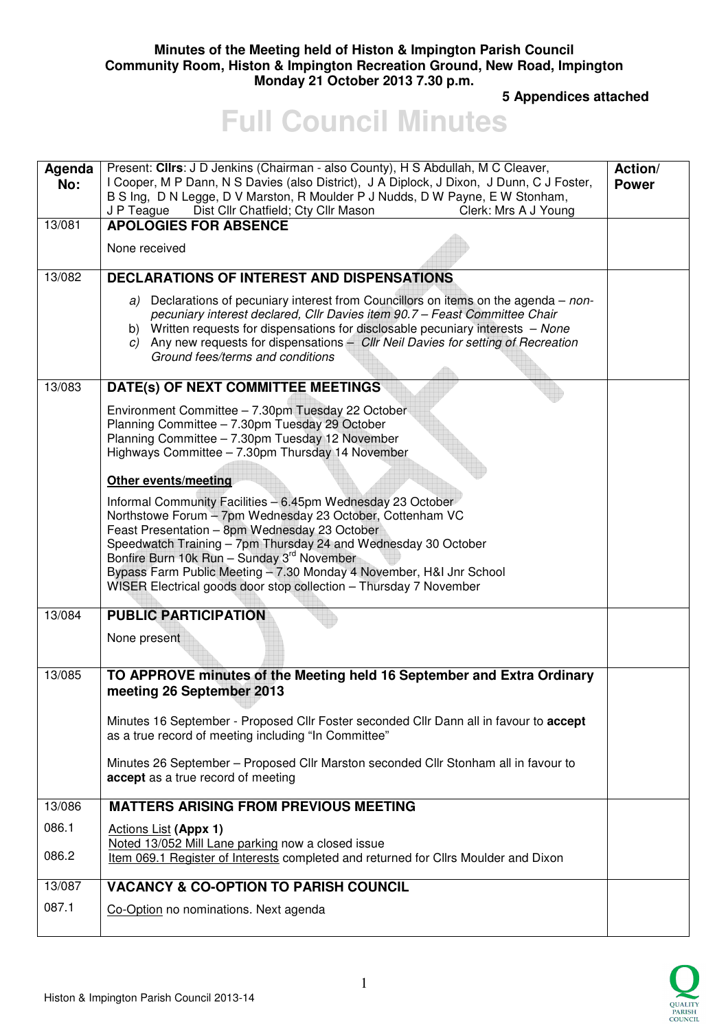### **Minutes of the Meeting held of Histon & Impington Parish Council Community Room, Histon & Impington Recreation Ground, New Road, Impington Monday 21 October 2013 7.30 p.m.**

 **5 Appendices attached** 

# **Full Council Minutes**

| Agenda<br>No:<br>13/081 | Present: Clirs: J D Jenkins (Chairman - also County), H S Abdullah, M C Cleaver,<br>I Cooper, M P Dann, N S Davies (also District), J A Diplock, J Dixon, J Dunn, C J Foster,<br>B S Ing, D N Legge, D V Marston, R Moulder P J Nudds, D W Payne, E W Stonham,<br>Dist Cllr Chatfield; Cty Cllr Mason<br>Clerk: Mrs A J Young<br>J P Teague<br><b>APOLOGIES FOR ABSENCE</b>                                                           | Action/<br><b>Power</b> |
|-------------------------|---------------------------------------------------------------------------------------------------------------------------------------------------------------------------------------------------------------------------------------------------------------------------------------------------------------------------------------------------------------------------------------------------------------------------------------|-------------------------|
|                         | None received                                                                                                                                                                                                                                                                                                                                                                                                                         |                         |
| 13/082                  | <b>DECLARATIONS OF INTEREST AND DISPENSATIONS</b>                                                                                                                                                                                                                                                                                                                                                                                     |                         |
|                         | a) Declarations of pecuniary interest from Councillors on items on the agenda – non-<br>pecuniary interest declared, Cllr Davies item 90.7 - Feast Committee Chair<br>b) Written requests for dispensations for disclosable pecuniary interests - None<br>c) Any new requests for dispensations - Cllr Neil Davies for setting of Recreation<br>Ground fees/terms and conditions                                                      |                         |
| 13/083                  | DATE(s) OF NEXT COMMITTEE MEETINGS                                                                                                                                                                                                                                                                                                                                                                                                    |                         |
|                         | Environment Committee - 7.30pm Tuesday 22 October<br>Planning Committee - 7.30pm Tuesday 29 October<br>Planning Committee - 7.30pm Tuesday 12 November<br>Highways Committee - 7.30pm Thursday 14 November                                                                                                                                                                                                                            |                         |
|                         | <b>Other events/meeting</b>                                                                                                                                                                                                                                                                                                                                                                                                           |                         |
|                         | Informal Community Facilities - 6.45pm Wednesday 23 October<br>Northstowe Forum - 7pm Wednesday 23 October, Cottenham VC<br>Feast Presentation - 8pm Wednesday 23 October<br>Speedwatch Training - 7pm Thursday 24 and Wednesday 30 October<br>Bonfire Burn 10k Run - Sunday 3rd November<br>Bypass Farm Public Meeting - 7.30 Monday 4 November, H&I Jnr School<br>WISER Electrical goods door stop collection - Thursday 7 November |                         |
| 13/084                  | <b>PUBLIC PARTICIPATION</b>                                                                                                                                                                                                                                                                                                                                                                                                           |                         |
|                         | None present                                                                                                                                                                                                                                                                                                                                                                                                                          |                         |
| 13/085                  | TO APPROVE minutes of the Meeting held 16 September and Extra Ordinary<br>meeting 26 September 2013                                                                                                                                                                                                                                                                                                                                   |                         |
|                         | Minutes 16 September - Proposed Cllr Foster seconded Cllr Dann all in favour to accept<br>as a true record of meeting including "In Committee"                                                                                                                                                                                                                                                                                        |                         |
|                         | Minutes 26 September – Proposed Cllr Marston seconded Cllr Stonham all in favour to<br>accept as a true record of meeting                                                                                                                                                                                                                                                                                                             |                         |
| 13/086                  | <b>MATTERS ARISING FROM PREVIOUS MEETING</b>                                                                                                                                                                                                                                                                                                                                                                                          |                         |
| 086.1                   | <b>Actions List (Appx 1)</b>                                                                                                                                                                                                                                                                                                                                                                                                          |                         |
| 086.2                   | Noted 13/052 Mill Lane parking now a closed issue<br>Item 069.1 Register of Interests completed and returned for Cllrs Moulder and Dixon                                                                                                                                                                                                                                                                                              |                         |
| 13/087                  | <b>VACANCY &amp; CO-OPTION TO PARISH COUNCIL</b>                                                                                                                                                                                                                                                                                                                                                                                      |                         |
| 087.1                   | Co-Option no nominations. Next agenda                                                                                                                                                                                                                                                                                                                                                                                                 |                         |

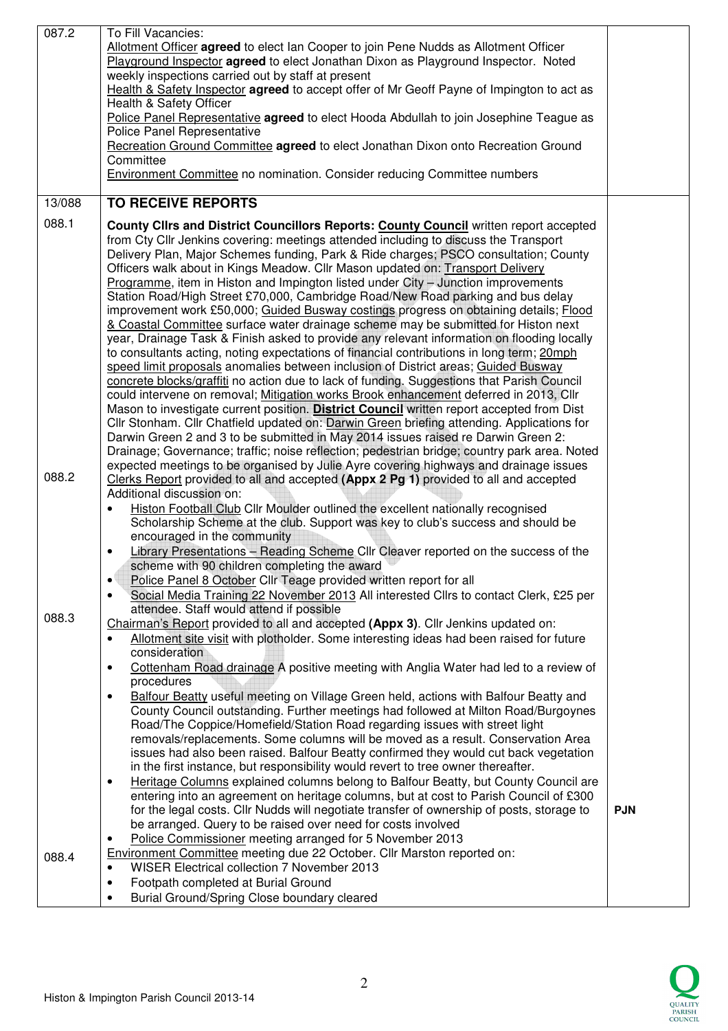| 087.2  | To Fill Vacancies:<br>Allotment Officer agreed to elect Ian Cooper to join Pene Nudds as Allotment Officer<br>Playground Inspector agreed to elect Jonathan Dixon as Playground Inspector. Noted<br>weekly inspections carried out by staff at present<br>Health & Safety Inspector agreed to accept offer of Mr Geoff Payne of Impington to act as<br>Health & Safety Officer<br>Police Panel Representative agreed to elect Hooda Abdullah to join Josephine Teague as<br>Police Panel Representative<br>Recreation Ground Committee agreed to elect Jonathan Dixon onto Recreation Ground<br>Committee<br><b>Environment Committee no nomination. Consider reducing Committee numbers</b>                                                                                                                                                                                                                                                                                                                                                                                                                                                                                                                                                                                                                                                                                                                                                                                                                                                                                                                                                                    |            |
|--------|-----------------------------------------------------------------------------------------------------------------------------------------------------------------------------------------------------------------------------------------------------------------------------------------------------------------------------------------------------------------------------------------------------------------------------------------------------------------------------------------------------------------------------------------------------------------------------------------------------------------------------------------------------------------------------------------------------------------------------------------------------------------------------------------------------------------------------------------------------------------------------------------------------------------------------------------------------------------------------------------------------------------------------------------------------------------------------------------------------------------------------------------------------------------------------------------------------------------------------------------------------------------------------------------------------------------------------------------------------------------------------------------------------------------------------------------------------------------------------------------------------------------------------------------------------------------------------------------------------------------------------------------------------------------|------------|
| 13/088 | <b>TO RECEIVE REPORTS</b>                                                                                                                                                                                                                                                                                                                                                                                                                                                                                                                                                                                                                                                                                                                                                                                                                                                                                                                                                                                                                                                                                                                                                                                                                                                                                                                                                                                                                                                                                                                                                                                                                                       |            |
|        |                                                                                                                                                                                                                                                                                                                                                                                                                                                                                                                                                                                                                                                                                                                                                                                                                                                                                                                                                                                                                                                                                                                                                                                                                                                                                                                                                                                                                                                                                                                                                                                                                                                                 |            |
| 088.1  | County Clirs and District Councillors Reports: County Council written report accepted<br>from Cty Cllr Jenkins covering: meetings attended including to discuss the Transport<br>Delivery Plan, Major Schemes funding, Park & Ride charges; PSCO consultation; County<br>Officers walk about in Kings Meadow. Cllr Mason updated on: Transport Delivery<br>Programme, item in Histon and Impington listed under City - Junction improvements<br>Station Road/High Street £70,000, Cambridge Road/New Road parking and bus delay<br>improvement work £50,000; Guided Busway costings progress on obtaining details; Flood<br>& Coastal Committee surface water drainage scheme may be submitted for Histon next<br>year, Drainage Task & Finish asked to provide any relevant information on flooding locally<br>to consultants acting, noting expectations of financial contributions in long term; 20mph<br>speed limit proposals anomalies between inclusion of District areas; Guided Busway<br>concrete blocks/graffiti no action due to lack of funding. Suggestions that Parish Council<br>could intervene on removal; Mitigation works Brook enhancement deferred in 2013, Cllr<br>Mason to investigate current position. District Council written report accepted from Dist<br>Cllr Stonham. Cllr Chatfield updated on: Darwin Green briefing attending. Applications for<br>Darwin Green 2 and 3 to be submitted in May 2014 issues raised re Darwin Green 2:<br>Drainage; Governance; traffic; noise reflection; pedestrian bridge; country park area. Noted<br>expected meetings to be organised by Julie Ayre covering highways and drainage issues |            |
| 088.2  | Clerks Report provided to all and accepted (Appx 2 Pg 1) provided to all and accepted<br>Additional discussion on:<br>Histon Football Club Cllr Moulder outlined the excellent nationally recognised<br>٠<br>Scholarship Scheme at the club. Support was key to club's success and should be<br>encouraged in the community<br>Library Presentations - Reading Scheme Cllr Cleaver reported on the success of the<br>scheme with 90 children completing the award<br>Police Panel 8 October Cllr Teage provided written report for all<br>$\bullet$<br>Social Media Training 22 November 2013 All interested Cllrs to contact Clerk, £25 per<br>٠                                                                                                                                                                                                                                                                                                                                                                                                                                                                                                                                                                                                                                                                                                                                                                                                                                                                                                                                                                                                               |            |
| 088.3  | attendee. Staff would attend if possible<br>Chairman's Report provided to all and accepted (Appx 3). Cllr Jenkins updated on:<br>Allotment site visit with plotholder. Some interesting ideas had been raised for future<br>$\bullet$<br>consideration<br>Cottenham Road drainage A positive meeting with Anglia Water had led to a review of<br>٠<br>procedures<br>Balfour Beatty useful meeting on Village Green held, actions with Balfour Beatty and<br>$\bullet$<br>County Council outstanding. Further meetings had followed at Milton Road/Burgoynes<br>Road/The Coppice/Homefield/Station Road regarding issues with street light<br>removals/replacements. Some columns will be moved as a result. Conservation Area<br>issues had also been raised. Balfour Beatty confirmed they would cut back vegetation<br>in the first instance, but responsibility would revert to tree owner thereafter.<br>Heritage Columns explained columns belong to Balfour Beatty, but County Council are<br>$\bullet$<br>entering into an agreement on heritage columns, but at cost to Parish Council of £300<br>for the legal costs. Cllr Nudds will negotiate transfer of ownership of posts, storage to<br>be arranged. Query to be raised over need for costs involved<br>Police Commissioner meeting arranged for 5 November 2013<br>٠                                                                                                                                                                                                                                                                                                                            | <b>PJN</b> |
| 088.4  | Environment Committee meeting due 22 October. Cllr Marston reported on:                                                                                                                                                                                                                                                                                                                                                                                                                                                                                                                                                                                                                                                                                                                                                                                                                                                                                                                                                                                                                                                                                                                                                                                                                                                                                                                                                                                                                                                                                                                                                                                         |            |
|        | WISER Electrical collection 7 November 2013<br>$\bullet$                                                                                                                                                                                                                                                                                                                                                                                                                                                                                                                                                                                                                                                                                                                                                                                                                                                                                                                                                                                                                                                                                                                                                                                                                                                                                                                                                                                                                                                                                                                                                                                                        |            |
|        | Footpath completed at Burial Ground<br>٠                                                                                                                                                                                                                                                                                                                                                                                                                                                                                                                                                                                                                                                                                                                                                                                                                                                                                                                                                                                                                                                                                                                                                                                                                                                                                                                                                                                                                                                                                                                                                                                                                        |            |
|        | Burial Ground/Spring Close boundary cleared<br>$\bullet$                                                                                                                                                                                                                                                                                                                                                                                                                                                                                                                                                                                                                                                                                                                                                                                                                                                                                                                                                                                                                                                                                                                                                                                                                                                                                                                                                                                                                                                                                                                                                                                                        |            |

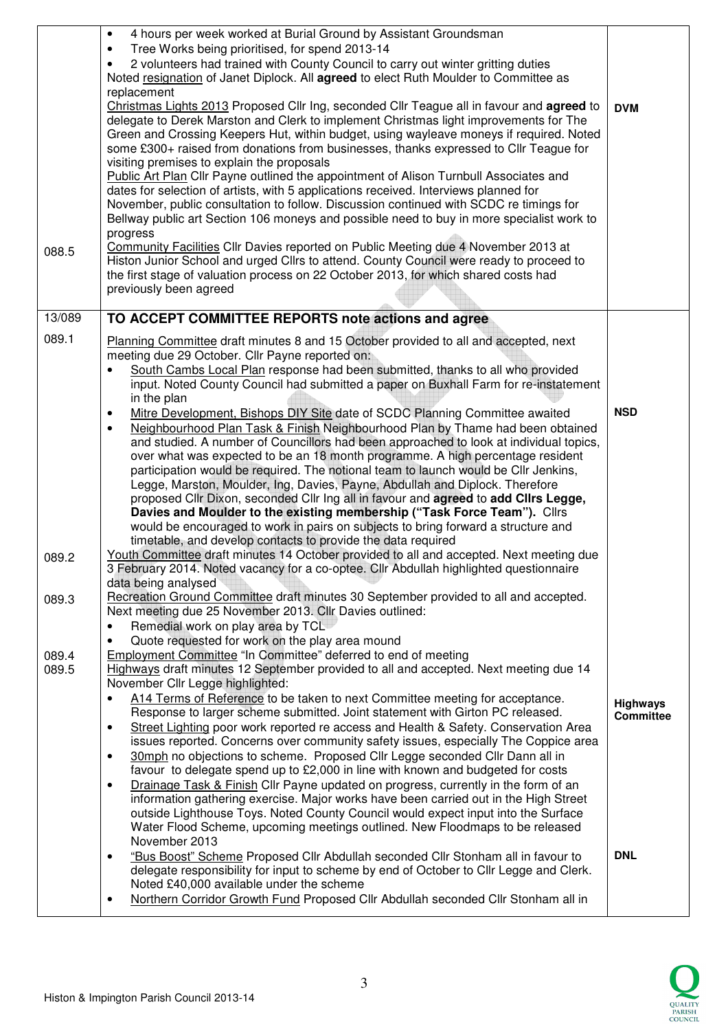|                | 4 hours per week worked at Burial Ground by Assistant Groundsman<br>$\bullet$<br>Tree Works being prioritised, for spend 2013-14<br>$\bullet$<br>2 volunteers had trained with County Council to carry out winter gritting duties<br>$\bullet$<br>Noted resignation of Janet Diplock. All agreed to elect Ruth Moulder to Committee as<br>replacement                                                                                                                                                                                                                                                                                                                                                                                                                                                                                                                             |                                     |
|----------------|-----------------------------------------------------------------------------------------------------------------------------------------------------------------------------------------------------------------------------------------------------------------------------------------------------------------------------------------------------------------------------------------------------------------------------------------------------------------------------------------------------------------------------------------------------------------------------------------------------------------------------------------------------------------------------------------------------------------------------------------------------------------------------------------------------------------------------------------------------------------------------------|-------------------------------------|
|                | Christmas Lights 2013 Proposed Cllr Ing, seconded Cllr Teague all in favour and agreed to<br>delegate to Derek Marston and Clerk to implement Christmas light improvements for The<br>Green and Crossing Keepers Hut, within budget, using wayleave moneys if required. Noted<br>some £300+ raised from donations from businesses, thanks expressed to Cllr Teague for<br>visiting premises to explain the proposals<br>Public Art Plan Cllr Payne outlined the appointment of Alison Turnbull Associates and                                                                                                                                                                                                                                                                                                                                                                     | <b>DVM</b>                          |
|                | dates for selection of artists, with 5 applications received. Interviews planned for<br>November, public consultation to follow. Discussion continued with SCDC re timings for<br>Bellway public art Section 106 moneys and possible need to buy in more specialist work to<br>progress                                                                                                                                                                                                                                                                                                                                                                                                                                                                                                                                                                                           |                                     |
| 088.5          | Community Facilities Cllr Davies reported on Public Meeting due 4 November 2013 at<br>Histon Junior School and urged Cllrs to attend. County Council were ready to proceed to<br>the first stage of valuation process on 22 October 2013, for which shared costs had<br>previously been agreed                                                                                                                                                                                                                                                                                                                                                                                                                                                                                                                                                                                    |                                     |
| 13/089         | TO ACCEPT COMMITTEE REPORTS note actions and agree                                                                                                                                                                                                                                                                                                                                                                                                                                                                                                                                                                                                                                                                                                                                                                                                                                |                                     |
| 089.1          | Planning Committee draft minutes 8 and 15 October provided to all and accepted, next<br>meeting due 29 October. Cllr Payne reported on:<br>South Cambs Local Plan response had been submitted, thanks to all who provided<br>$\bullet$<br>input. Noted County Council had submitted a paper on Buxhall Farm for re-instatement                                                                                                                                                                                                                                                                                                                                                                                                                                                                                                                                                    |                                     |
|                | in the plan<br>Mitre Development, Bishops DIY Site date of SCDC Planning Committee awaited<br>$\bullet$<br>Neighbourhood Plan Task & Finish Neighbourhood Plan by Thame had been obtained<br>$\bullet$<br>and studied. A number of Councillors had been approached to look at individual topics,<br>over what was expected to be an 18 month programme. A high percentage resident<br>participation would be required. The notional team to launch would be Cllr Jenkins,<br>Legge, Marston, Moulder, Ing, Davies, Payne, Abdullah and Diplock. Therefore<br>proposed Cllr Dixon, seconded Cllr Ing all in favour and agreed to add Cllrs Legge,<br>Davies and Moulder to the existing membership ("Task Force Team"). Clirs<br>would be encouraged to work in pairs on subjects to bring forward a structure and<br>timetable, and develop contacts to provide the data required | <b>NSD</b>                          |
| 089.2          | Youth Committee draft minutes 14 October provided to all and accepted. Next meeting due<br>3 February 2014. Noted vacancy for a co-optee. Cllr Abdullah highlighted questionnaire<br>data being analysed                                                                                                                                                                                                                                                                                                                                                                                                                                                                                                                                                                                                                                                                          |                                     |
| 089.3          | Recreation Ground Committee draft minutes 30 September provided to all and accepted.<br>Next meeting due 25 November 2013. Cllr Davies outlined:<br>Remedial work on play area by TCL<br>$\bullet$<br>Quote requested for work on the play area mound<br>$\bullet$                                                                                                                                                                                                                                                                                                                                                                                                                                                                                                                                                                                                                |                                     |
| 089.4<br>089.5 | Employment Committee "In Committee" deferred to end of meeting<br>Highways draft minutes 12 September provided to all and accepted. Next meeting due 14<br>November Cllr Legge highlighted:                                                                                                                                                                                                                                                                                                                                                                                                                                                                                                                                                                                                                                                                                       |                                     |
|                | A14 Terms of Reference to be taken to next Committee meeting for acceptance.<br>Response to larger scheme submitted. Joint statement with Girton PC released.<br>Street Lighting poor work reported re access and Health & Safety. Conservation Area<br>$\bullet$<br>issues reported. Concerns over community safety issues, especially The Coppice area                                                                                                                                                                                                                                                                                                                                                                                                                                                                                                                          | <b>Highways</b><br><b>Committee</b> |
|                | 30mph no objections to scheme. Proposed Cllr Legge seconded Cllr Dann all in<br>$\bullet$<br>favour to delegate spend up to £2,000 in line with known and budgeted for costs<br>Drainage Task & Finish Cllr Payne updated on progress, currently in the form of an<br>$\bullet$                                                                                                                                                                                                                                                                                                                                                                                                                                                                                                                                                                                                   |                                     |
|                | information gathering exercise. Major works have been carried out in the High Street<br>outside Lighthouse Toys. Noted County Council would expect input into the Surface<br>Water Flood Scheme, upcoming meetings outlined. New Floodmaps to be released<br>November 2013                                                                                                                                                                                                                                                                                                                                                                                                                                                                                                                                                                                                        |                                     |
|                | "Bus Boost" Scheme Proposed Cllr Abdullah seconded Cllr Stonham all in favour to<br>$\bullet$<br>delegate responsibility for input to scheme by end of October to Cllr Legge and Clerk.<br>Noted £40,000 available under the scheme<br>Northern Corridor Growth Fund Proposed Cllr Abdullah seconded Cllr Stonham all in<br>$\bullet$                                                                                                                                                                                                                                                                                                                                                                                                                                                                                                                                             | <b>DNL</b>                          |
|                |                                                                                                                                                                                                                                                                                                                                                                                                                                                                                                                                                                                                                                                                                                                                                                                                                                                                                   |                                     |

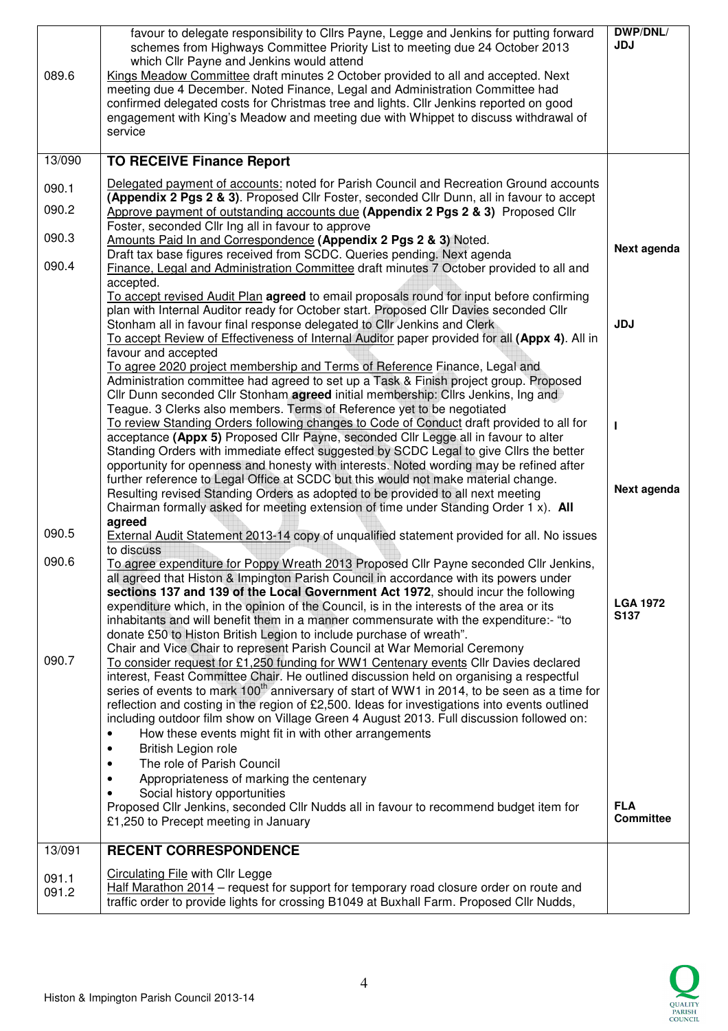| 089.6          | favour to delegate responsibility to Cllrs Payne, Legge and Jenkins for putting forward<br>schemes from Highways Committee Priority List to meeting due 24 October 2013<br>which Cllr Payne and Jenkins would attend<br>Kings Meadow Committee draft minutes 2 October provided to all and accepted. Next<br>meeting due 4 December. Noted Finance, Legal and Administration Committee had                                                                                                                                                                                                                                                                 | DWP/DNL/<br><b>JDJ</b>              |
|----------------|------------------------------------------------------------------------------------------------------------------------------------------------------------------------------------------------------------------------------------------------------------------------------------------------------------------------------------------------------------------------------------------------------------------------------------------------------------------------------------------------------------------------------------------------------------------------------------------------------------------------------------------------------------|-------------------------------------|
|                | confirmed delegated costs for Christmas tree and lights. Cllr Jenkins reported on good<br>engagement with King's Meadow and meeting due with Whippet to discuss withdrawal of<br>service                                                                                                                                                                                                                                                                                                                                                                                                                                                                   |                                     |
| 13/090         | <b>TO RECEIVE Finance Report</b>                                                                                                                                                                                                                                                                                                                                                                                                                                                                                                                                                                                                                           |                                     |
| 090.1          | Delegated payment of accounts: noted for Parish Council and Recreation Ground accounts<br>(Appendix 2 Pgs 2 & 3). Proposed Cllr Foster, seconded Cllr Dunn, all in favour to accept                                                                                                                                                                                                                                                                                                                                                                                                                                                                        |                                     |
| 090.2          | Approve payment of outstanding accounts due (Appendix 2 Pgs 2 & 3) Proposed Cllr<br>Foster, seconded Cllr Ing all in favour to approve                                                                                                                                                                                                                                                                                                                                                                                                                                                                                                                     |                                     |
| 090.3          | Amounts Paid In and Correspondence (Appendix 2 Pgs 2 & 3) Noted.                                                                                                                                                                                                                                                                                                                                                                                                                                                                                                                                                                                           | Next agenda                         |
| 090.4          | Draft tax base figures received from SCDC. Queries pending. Next agenda<br>Finance, Legal and Administration Committee draft minutes 7 October provided to all and<br>accepted.                                                                                                                                                                                                                                                                                                                                                                                                                                                                            |                                     |
|                | To accept revised Audit Plan agreed to email proposals round for input before confirming<br>plan with Internal Auditor ready for October start. Proposed Cllr Davies seconded Cllr<br>Stonham all in favour final response delegated to CIIr Jenkins and Clerk<br>To accept Review of Effectiveness of Internal Auditor paper provided for all (Appx 4). All in                                                                                                                                                                                                                                                                                            | <b>JDJ</b>                          |
|                | favour and accepted<br>To agree 2020 project membership and Terms of Reference Finance, Legal and<br>Administration committee had agreed to set up a Task & Finish project group. Proposed<br>Cllr Dunn seconded Cllr Stonham agreed initial membership: Cllrs Jenkins, Ing and                                                                                                                                                                                                                                                                                                                                                                            |                                     |
|                | Teague. 3 Clerks also members. Terms of Reference yet to be negotiated<br>To review Standing Orders following changes to Code of Conduct draft provided to all for<br>acceptance (Appx 5) Proposed Cllr Payne, seconded Cllr Legge all in favour to alter<br>Standing Orders with immediate effect suggested by SCDC Legal to give Cllrs the better                                                                                                                                                                                                                                                                                                        |                                     |
|                | opportunity for openness and honesty with interests. Noted wording may be refined after<br>further reference to Legal Office at SCDC but this would not make material change.<br>Resulting revised Standing Orders as adopted to be provided to all next meeting<br>Chairman formally asked for meeting extension of time under Standing Order 1 x). All<br>agreed                                                                                                                                                                                                                                                                                         | Next agenda                         |
| 090.5          | External Audit Statement 2013-14 copy of unqualified statement provided for all. No issues<br>to discuss                                                                                                                                                                                                                                                                                                                                                                                                                                                                                                                                                   |                                     |
| 090.6          | To agree expenditure for Poppy Wreath 2013 Proposed Cllr Payne seconded Cllr Jenkins,<br>all agreed that Histon & Impington Parish Council in accordance with its powers under                                                                                                                                                                                                                                                                                                                                                                                                                                                                             |                                     |
|                | sections 137 and 139 of the Local Government Act 1972, should incur the following<br>expenditure which, in the opinion of the Council, is in the interests of the area or its<br>inhabitants and will benefit them in a manner commensurate with the expenditure:- "to<br>donate £50 to Histon British Legion to include purchase of wreath".                                                                                                                                                                                                                                                                                                              | <b>LGA 1972</b><br>S <sub>137</sub> |
| 090.7          | Chair and Vice Chair to represent Parish Council at War Memorial Ceremony<br>To consider request for £1,250 funding for WW1 Centenary events Cllr Davies declared<br>interest, Feast Committee Chair. He outlined discussion held on organising a respectful<br>series of events to mark 100 <sup>th</sup> anniversary of start of WW1 in 2014, to be seen as a time for<br>reflection and costing in the region of £2,500. Ideas for investigations into events outlined<br>including outdoor film show on Village Green 4 August 2013. Full discussion followed on:<br>How these events might fit in with other arrangements<br>British Legion role<br>٠ |                                     |
|                | The role of Parish Council                                                                                                                                                                                                                                                                                                                                                                                                                                                                                                                                                                                                                                 |                                     |
|                | Appropriateness of marking the centenary<br>Social history opportunities                                                                                                                                                                                                                                                                                                                                                                                                                                                                                                                                                                                   |                                     |
|                | Proposed Cllr Jenkins, seconded Cllr Nudds all in favour to recommend budget item for<br>£1,250 to Precept meeting in January                                                                                                                                                                                                                                                                                                                                                                                                                                                                                                                              | <b>FLA</b><br><b>Committee</b>      |
| 13/091         | <b>RECENT CORRESPONDENCE</b>                                                                                                                                                                                                                                                                                                                                                                                                                                                                                                                                                                                                                               |                                     |
| 091.1<br>091.2 | <b>Circulating File with CIIr Legge</b><br>Half Marathon 2014 - request for support for temporary road closure order on route and<br>traffic order to provide lights for crossing B1049 at Buxhall Farm. Proposed Cllr Nudds,                                                                                                                                                                                                                                                                                                                                                                                                                              |                                     |

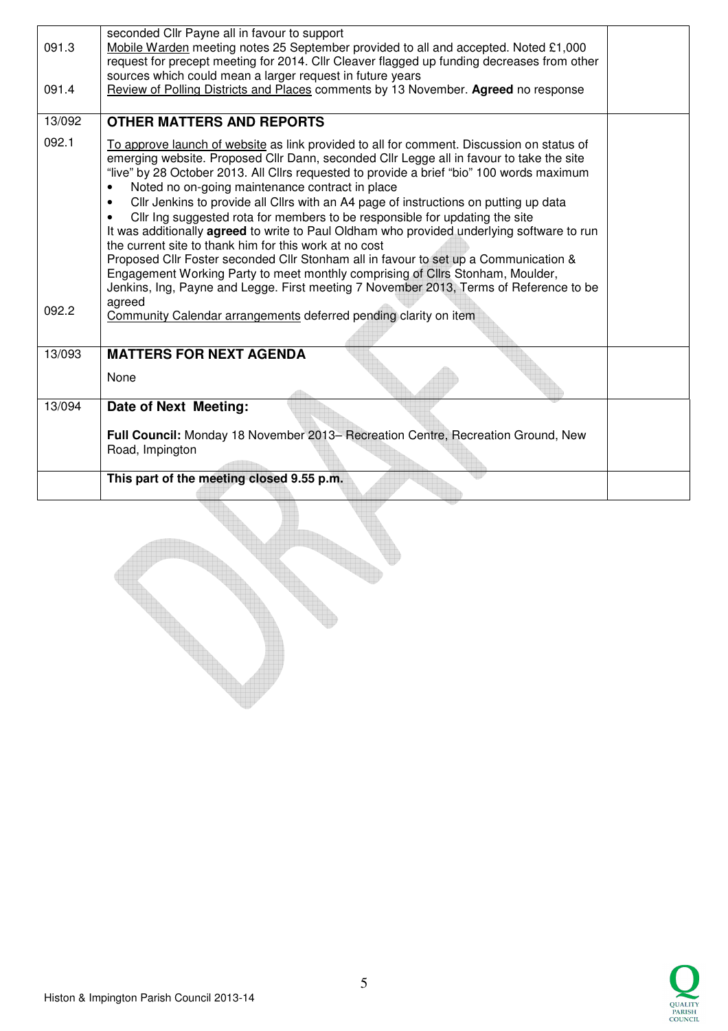| 091.3  | seconded Cllr Payne all in favour to support<br>Mobile Warden meeting notes 25 September provided to all and accepted. Noted £1,000<br>request for precept meeting for 2014. Cllr Cleaver flagged up funding decreases from other                                                                                                                                                                                                                                                                                                                                                                                                                                                                                                                                                                                                                                                                                                                     |  |
|--------|-------------------------------------------------------------------------------------------------------------------------------------------------------------------------------------------------------------------------------------------------------------------------------------------------------------------------------------------------------------------------------------------------------------------------------------------------------------------------------------------------------------------------------------------------------------------------------------------------------------------------------------------------------------------------------------------------------------------------------------------------------------------------------------------------------------------------------------------------------------------------------------------------------------------------------------------------------|--|
| 091.4  | sources which could mean a larger request in future years<br>Review of Polling Districts and Places comments by 13 November. Agreed no response                                                                                                                                                                                                                                                                                                                                                                                                                                                                                                                                                                                                                                                                                                                                                                                                       |  |
| 13/092 | <b>OTHER MATTERS AND REPORTS</b>                                                                                                                                                                                                                                                                                                                                                                                                                                                                                                                                                                                                                                                                                                                                                                                                                                                                                                                      |  |
| 092.1  | To approve launch of website as link provided to all for comment. Discussion on status of<br>emerging website. Proposed Cllr Dann, seconded Cllr Legge all in favour to take the site<br>"live" by 28 October 2013. All Cllrs requested to provide a brief "bio" 100 words maximum<br>Noted no on-going maintenance contract in place<br>Cllr Jenkins to provide all Cllrs with an A4 page of instructions on putting up data<br>$\bullet$<br>Cllr Ing suggested rota for members to be responsible for updating the site<br>It was additionally agreed to write to Paul Oldham who provided underlying software to run<br>the current site to thank him for this work at no cost<br>Proposed Cllr Foster seconded Cllr Stonham all in favour to set up a Communication &<br>Engagement Working Party to meet monthly comprising of Cllrs Stonham, Moulder,<br>Jenkins, Ing, Payne and Legge. First meeting 7 November 2013, Terms of Reference to be |  |
| 092.2  | agreed<br>Community Calendar arrangements deferred pending clarity on item                                                                                                                                                                                                                                                                                                                                                                                                                                                                                                                                                                                                                                                                                                                                                                                                                                                                            |  |
| 13/093 | <b>MATTERS FOR NEXT AGENDA</b>                                                                                                                                                                                                                                                                                                                                                                                                                                                                                                                                                                                                                                                                                                                                                                                                                                                                                                                        |  |
|        | None                                                                                                                                                                                                                                                                                                                                                                                                                                                                                                                                                                                                                                                                                                                                                                                                                                                                                                                                                  |  |
| 13/094 | Date of Next Meeting:                                                                                                                                                                                                                                                                                                                                                                                                                                                                                                                                                                                                                                                                                                                                                                                                                                                                                                                                 |  |
|        | Full Council: Monday 18 November 2013- Recreation Centre, Recreation Ground, New<br>Road, Impington                                                                                                                                                                                                                                                                                                                                                                                                                                                                                                                                                                                                                                                                                                                                                                                                                                                   |  |
|        | This part of the meeting closed 9.55 p.m.                                                                                                                                                                                                                                                                                                                                                                                                                                                                                                                                                                                                                                                                                                                                                                                                                                                                                                             |  |

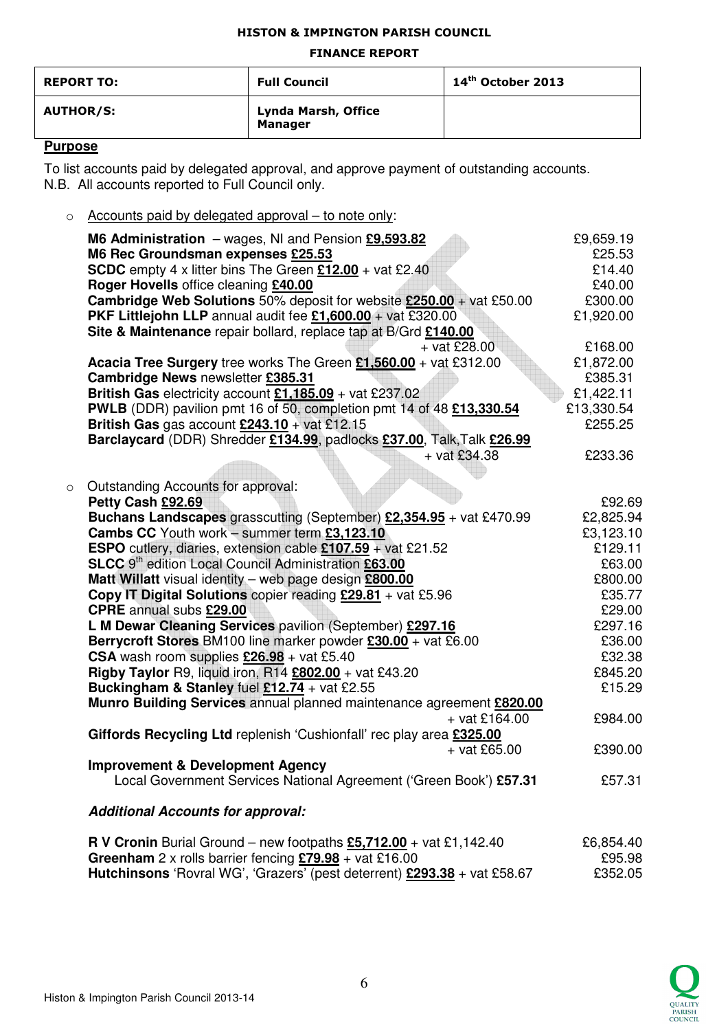#### HISTON & IMPINGTON PARISH COUNCIL

#### FINANCE REPORT

| <b>REPORT TO:</b> | <b>Full Council</b>                   | $14th$ October 2013 |
|-------------------|---------------------------------------|---------------------|
| <b>AUTHOR/S:</b>  | Lynda Marsh, Office<br><b>Manager</b> |                     |

## **Purpose**

To list accounts paid by delegated approval, and approve payment of outstanding accounts. N.B. All accounts reported to Full Council only.

 $\circ$  Accounts paid by delegated approval – to note only:

|         | M6 Administration $-$ wages, NI and Pension $£9,593.82$                                                                          | £9,659.19  |
|---------|----------------------------------------------------------------------------------------------------------------------------------|------------|
|         | M6 Rec Groundsman expenses £25.53                                                                                                | £25.53     |
|         | <b>SCDC</b> empty 4 x litter bins The Green $£12.00 +$ vat £2.40                                                                 | £14.40     |
|         | Roger Hovells office cleaning £40.00                                                                                             | £40.00     |
|         | <b>Cambridge Web Solutions</b> 50% deposit for website $£250.00 + \text{vat } £50.00$                                            | £300.00    |
|         | PKF Littlejohn LLP annual audit fee $£1,600.00 +$ vat £320.00<br>Site & Maintenance repair bollard, replace tap at B/Grd £140.00 | £1,920.00  |
|         | $+$ vat £28.00                                                                                                                   | £168.00    |
|         | Acacia Tree Surgery tree works The Green £1,560.00 + vat £312.00                                                                 | £1,872.00  |
|         | Cambridge News newsletter £385.31                                                                                                | £385.31    |
|         | British Gas electricity account $£1,185.09 +$ vat £237.02                                                                        | £1,422.11  |
|         | PWLB (DDR) pavilion pmt 16 of 50, completion pmt 14 of 48 £13,330.54                                                             | £13,330.54 |
|         | British Gas gas account $£243.10 + \text{vat } £12.15$                                                                           | £255.25    |
|         | Barclaycard (DDR) Shredder £134.99, padlocks £37.00, Talk, Talk £26.99                                                           |            |
|         | $+$ vat £34.38                                                                                                                   | £233.36    |
|         |                                                                                                                                  |            |
| $\circ$ | Outstanding Accounts for approval:                                                                                               |            |
|         | Petty Cash £92.69                                                                                                                | £92.69     |
|         | Buchans Landscapes grasscutting (September) £2,354.95 + vat £470.99                                                              | £2,825.94  |
|         | Cambs CC Youth work - summer term £3,123.10                                                                                      | £3,123.10  |
|         | <b>ESPO</b> cutlery, diaries, extension cable £107.59 + vat £21.52                                                               | £129.11    |
|         | SLCC 9 <sup>th</sup> edition Local Council Administration £63.00                                                                 | £63.00     |
|         | Matt Willatt visual identity - web page design £800.00                                                                           | £800.00    |
|         | Copy IT Digital Solutions copier reading £29.81 + vat £5.96                                                                      | £35.77     |
|         | <b>CPRE</b> annual subs £29.00                                                                                                   | £29.00     |
|         | L M Dewar Cleaning Services pavilion (September) £297.16                                                                         | £297.16    |
|         | Berrycroft Stores BM100 line marker powder £30.00 + vat £6.00                                                                    | £36.00     |
|         | CSA wash room supplies $£26.98 +$ vat £5.40                                                                                      | £32.38     |
|         | Rigby Taylor R9, liquid iron, R14 £802.00 + vat £43.20                                                                           | £845.20    |
|         | Buckingham & Stanley fuel £12.74 + vat £2.55                                                                                     | £15.29     |
|         | Munro Building Services annual planned maintenance agreement £820.00                                                             |            |
|         | $+$ vat £164.00                                                                                                                  | £984.00    |
|         | Giffords Recycling Ltd replenish 'Cushionfall' rec play area £325.00                                                             |            |
|         | $+$ vat £65.00                                                                                                                   | £390.00    |
|         | <b>Improvement &amp; Development Agency</b>                                                                                      |            |
|         | Local Government Services National Agreement ('Green Book') £57.31                                                               | £57.31     |
|         |                                                                                                                                  |            |
|         | <b>Additional Accounts for approval:</b>                                                                                         |            |
|         |                                                                                                                                  |            |

**R V Cronin** Burial Ground – new footpaths  $\underline{55,712.00}$  + vat £1,142.40  $\underline{26,854.40}$ <br>**Greenham** 2 x rolls barrier fencing **£79.98** + vat £16.00  $\underline{295.98}$ **Greenham** 2 x rolls barrier fencing  $279.98 + \text{vat } £16.00$ **Hutchinsons** 'Rovral WG', 'Grazers' (pest deterrent) **£293.38** + vat £58.67 £352.05